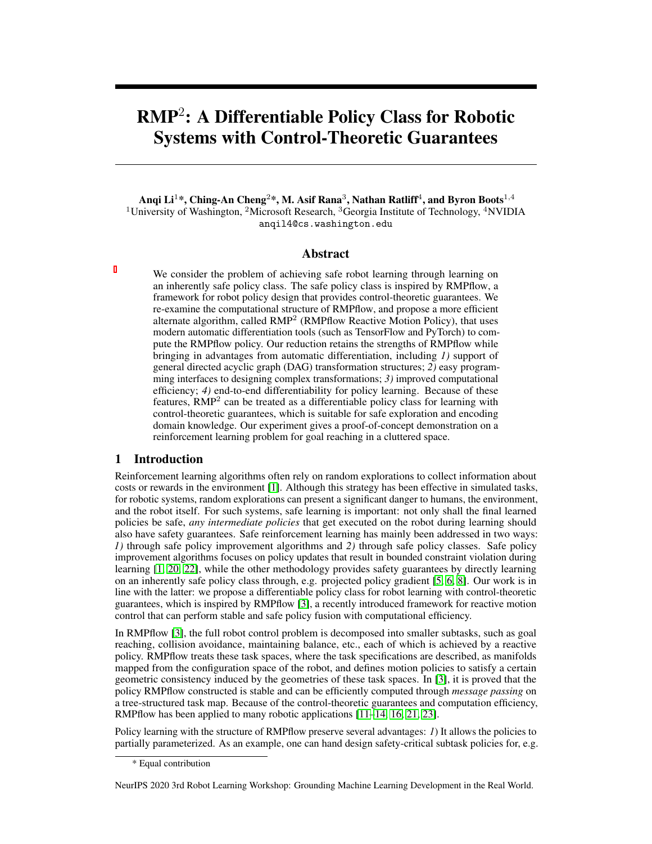# RMP<sup>2</sup> : A Differentiable Policy Class for Robotic Systems with Control-Theoretic Guarantees

Anqi Li $^{1*}$ , Ching-An Cheng $^{2*}$ , M. Asif Rana $^{3}$ , Nathan Ratliff $^{4}$ , and Byron Boots $^{1,4}$ <sup>1</sup>University of Washington, <sup>2</sup>Microsoft Research, <sup>3</sup>Georgia Institute of Technology, <sup>4</sup>NVIDIA anqil4@cs.washington.edu

## Abstract

We consider the problem of achieving safe robot learning through learning on an inherently safe policy class. The safe policy class is inspired by RMPflow, a framework for robot policy design that provides control-theoretic guarantees. We re-examine the computational structure of RMPflow, and propose a more efficient alternate algorithm, called RMP<sup>2</sup> (RMPflow Reactive Motion Policy), that uses modern automatic differentiation tools (such as TensorFlow and PyTorch) to compute the RMPflow policy. Our reduction retains the strengths of RMPflow while bringing in advantages from automatic differentiation, including *1)* support of general directed acyclic graph (DAG) transformation structures; *2)* easy programming interfaces to designing complex transformations; *3)* improved computational efficiency; *4)* end-to-end differentiability for policy learning. Because of these features, RMP<sup>2</sup> can be treated as a differentiable policy class for learning with control-theoretic guarantees, which is suitable for safe exploration and encoding domain knowledge. Our experiment gives a proof-of-concept demonstration on a reinforcement learning problem for goal reaching in a cluttered space.

## 1 Introduction

Reinforcement learning algorithms often rely on random explorations to collect information about costs or rewards in the environment [\[1\]](#page-4-0). Although this strategy has been effective in simulated tasks, for robotic systems, random explorations can present a significant danger to humans, the environment, and the robot itself. For such systems, safe learning is important: not only shall the final learned policies be safe, *any intermediate policies* that get executed on the robot during learning should also have safety guarantees. Safe reinforcement learning has mainly been addressed in two ways: *1)* through safe policy improvement algorithms and *2)* through safe policy classes. Safe policy improvement algorithms focuses on policy updates that result in bounded constraint violation during learning [\[1,](#page-4-0) [20,](#page-4-1) [22\]](#page-5-0), while the other methodology provides safety guarantees by directly learning on an inherently safe policy class through, e.g. projected policy gradient [\[5,](#page-4-2) [6,](#page-4-3) [8\]](#page-4-4). Our work is in line with the latter: we propose a differentiable policy class for robot learning with control-theoretic guarantees, which is inspired by RMPflow [\[3\]](#page-4-5), a recently introduced framework for reactive motion control that can perform stable and safe policy fusion with computational efficiency.

In RMPflow [\[3\]](#page-4-5), the full robot control problem is decomposed into smaller subtasks, such as goal reaching, collision avoidance, maintaining balance, etc., each of which is achieved by a reactive policy. RMPflow treats these task spaces, where the task specifications are described, as manifolds mapped from the configuration space of the robot, and defines motion policies to satisfy a certain geometric consistency induced by the geometries of these task spaces. In [\[3\]](#page-4-5), it is proved that the policy RMPflow constructed is stable and can be efficiently computed through *message passing* on a tree-structured task map. Because of the control-theoretic guarantees and computation efficiency, RMPflow has been applied to many robotic applications [\[11](#page-4-6)[–14,](#page-4-7) [16,](#page-4-8) [21,](#page-5-1) [23\]](#page-5-2).

Policy learning with the structure of RMPflow preserve several advantages: *1*) It allows the policies to partially parameterized. As an example, one can hand design safety-critical subtask policies for, e.g.

NeurIPS 2020 3rd Robot Learning Workshop: Grounding Machine Learning Development in the Real World.

<sup>\*</sup> Equal contribution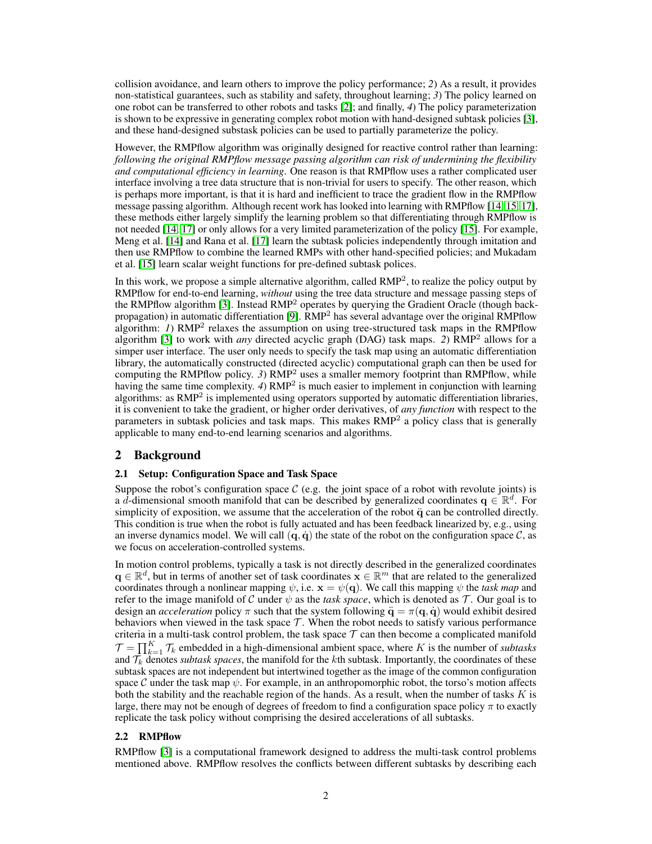collision avoidance, and learn others to improve the policy performance; *2*) As a result, it provides non-statistical guarantees, such as stability and safety, throughout learning; *3*) The policy learned on one robot can be transferred to other robots and tasks [\[2\]](#page-4-9); and finally, *4*) The policy parameterization is shown to be expressive in generating complex robot motion with hand-designed subtask policies [\[3\]](#page-4-5), and these hand-designed substask policies can be used to partially parameterize the policy.

However, the RMPflow algorithm was originally designed for reactive control rather than learning: *following the original RMPflow message passing algorithm can risk of undermining the flexibility and computational efficiency in learning*. One reason is that RMPflow uses a rather complicated user interface involving a tree data structure that is non-trivial for users to specify. The other reason, which is perhaps more important, is that it is hard and inefficient to trace the gradient flow in the RMPflow message passing algorithm. Although recent work has looked into learning with RMPflow [\[14,](#page-4-7) [15,](#page-4-10) [17\]](#page-4-11), these methods either largely simplify the learning problem so that differentiating through RMPflow is not needed [\[14,](#page-4-7) [17\]](#page-4-11) or only allows for a very limited parameterization of the policy [\[15\]](#page-4-10). For example, Meng et al. [\[14\]](#page-4-7) and Rana et al. [\[17\]](#page-4-11) learn the subtask policies independently through imitation and then use RMPflow to combine the learned RMPs with other hand-specified policies; and Mukadam et al. [\[15\]](#page-4-10) learn scalar weight functions for pre-defined subtask polices.

In this work, we propose a simple alternative algorithm, called RMP<sup>2</sup>, to realize the policy output by RMPflow for end-to-end learning, *without* using the tree data structure and message passing steps of the RMPflow algorithm [\[3\]](#page-4-5). Instead RMP<sup>2</sup> operates by querying the Gradient Oracle (though back-propagation) in automatic differentiation [\[9\]](#page-4-12). RMP<sup>2</sup> has several advantage over the original RMPflow algorithm: *1*) RMP<sup>2</sup> relaxes the assumption on using tree-structured task maps in the RMPflow algorithm [\[3\]](#page-4-5) to work with *any* directed acyclic graph (DAG) task maps. *2*) RMP<sup>2</sup> allows for a simper user interface. The user only needs to specify the task map using an automatic differentiation library, the automatically constructed (directed acyclic) computational graph can then be used for computing the RMPflow policy.  $3$ )  $RMP<sup>2</sup>$  uses a smaller memory footprint than RMPflow, while having the same time complexity. 4) RMP<sup>2</sup> is much easier to implement in conjunction with learning algorithms: as RMP<sup>2</sup> is implemented using operators supported by automatic differentiation libraries, it is convenient to take the gradient, or higher order derivatives, of *any function* with respect to the parameters in subtask policies and task maps. This makes RMP<sup>2</sup> a policy class that is generally applicable to many end-to-end learning scenarios and algorithms.

## 2 Background

#### 2.1 Setup: Configuration Space and Task Space

Suppose the robot's configuration space  $\mathcal C$  (e.g. the joint space of a robot with revolute joints) is a d-dimensional smooth manifold that can be described by generalized coordinates  $q \in \mathbb{R}^d$ . For simplicity of exposition, we assume that the acceleration of the robot  $\ddot{q}$  can be controlled directly. This condition is true when the robot is fully actuated and has been feedback linearized by, e.g., using an inverse dynamics model. We will call  $(q, \dot{q})$  the state of the robot on the configuration space C, as we focus on acceleration-controlled systems.

In motion control problems, typically a task is not directly described in the generalized coordinates  $\mathbf{q} \in \mathbb{R}^d$ , but in terms of another set of task coordinates  $\mathbf{x} \in \mathbb{R}^m$  that are related to the generalized coordinates through a nonlinear mapping  $\psi$ , i.e.  $\mathbf{x} = \psi(\mathbf{q})$ . We call this mapping  $\psi$  the *task map* and refer to the image manifold of C under  $\psi$  as the *task space*, which is denoted as T. Our goal is to design an *acceleration* policy  $\pi$  such that the system following  $\ddot{\mathbf{q}} = \pi(\mathbf{q}, \dot{\mathbf{q}})$  would exhibit desired behaviors when viewed in the task space  $\mathcal T$ . When the robot needs to satisfy various performance criteria in a multi-task control problem, the task space  $\mathcal T$  can then become a complicated manifold  $\mathcal{T} = \prod_{k=1}^K \mathcal{T}_k$  embedded in a high-dimensional ambient space, where K is the number of *subtasks* and  $\overline{T_k}$  denotes *subtask spaces*, the manifold for the kth subtask. Importantly, the coordinates of these subtask spaces are not independent but intertwined together as the image of the common configuration space C under the task map  $\psi$ . For example, in an anthropomorphic robot, the torso's motion affects both the stability and the reachable region of the hands. As a result, when the number of tasks  $K$  is large, there may not be enough of degrees of freedom to find a configuration space policy  $\pi$  to exactly replicate the task policy without comprising the desired accelerations of all subtasks.

#### 2.2 RMPflow

RMPflow [\[3\]](#page-4-5) is a computational framework designed to address the multi-task control problems mentioned above. RMPflow resolves the conflicts between different subtasks by describing each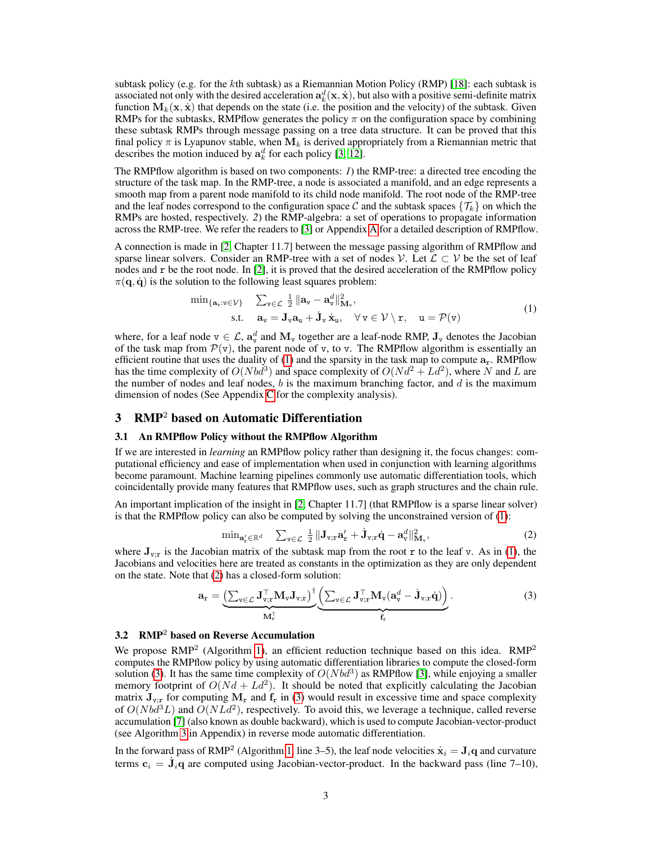subtask policy (e.g. for the kth subtask) as a Riemannian Motion Policy (RMP) [\[18\]](#page-4-13): each subtask is associated not only with the desired acceleration  $\mathbf{a}_k^d(\mathbf{x},\dot{\mathbf{x}})$ , but also with a positive semi-definite matrix function  $M_k(x, \dot{x})$  that depends on the state (i.e. the position and the velocity) of the subtask. Given RMPs for the subtasks, RMPflow generates the policy  $\pi$  on the configuration space by combining these subtask RMPs through message passing on a tree data structure. It can be proved that this final policy  $\pi$  is Lyapunov stable, when  $M_k$  is derived appropriately from a Riemannian metric that describes the motion induced by  $a_k^d$  for each policy [\[3,](#page-4-5) [12\]](#page-4-14).

The RMPflow algorithm is based on two components: *1*) the RMP-tree: a directed tree encoding the structure of the task map. In the RMP-tree, a node is associated a manifold, and an edge represents a smooth map from a parent node manifold to its child node manifold. The root node of the RMP-tree and the leaf nodes correspond to the configuration space C and the subtask spaces  $\{\mathcal{T}_k\}$  on which the RMPs are hosted, respectively. *2*) the RMP-algebra: a set of operations to propagate information across the RMP-tree. We refer the readers to [\[3\]](#page-4-5) or Appendix [A](#page-6-0) for a detailed description of RMPflow.

A connection is made in [\[2,](#page-4-9) Chapter 11.7] between the message passing algorithm of RMPflow and sparse linear solvers. Consider an RMP-tree with a set of nodes V. Let  $\mathcal{L} \subset \mathcal{V}$  be the set of leaf nodes and r be the root node. In [\[2\]](#page-4-9), it is proved that the desired acceleration of the RMPflow policy  $\pi(\mathbf{q}, \dot{\mathbf{q}})$  is the solution to the following least squares problem:

<span id="page-2-0"></span>
$$
\min_{\{\mathbf{a}_{v}:v\in\mathcal{V}\}} \quad \sum_{v\in\mathcal{L}} \frac{1}{2} \|\mathbf{a}_{v} - \mathbf{a}_{v}^{d}\|_{\mathbf{M}_{v}}^{2},
$$
\n
$$
\text{s.t.} \quad \mathbf{a}_{v} = \mathbf{J}_{v}\mathbf{a}_{u} + \dot{\mathbf{J}}_{v}\dot{\mathbf{x}}_{u}, \quad \forall v \in \mathcal{V} \setminus \mathbf{r}, \quad u = \mathcal{P}(v)
$$
\n
$$
(1)
$$

where, for a leaf node  $v \in \mathcal{L}$ ,  $a_v^d$  and  $M_v$  together are a leaf-node RMP,  $J_v$  denotes the Jacobian of the task map from  $\mathcal{P}(v)$ , the parent node of v, to v. The RMPflow algorithm is essentially an efficient routine that uses the duality of [\(1\)](#page-2-0) and the sparsity in the task map to compute  $a_r$ . RMPflow has the time complexity of  $O(Nbd^3)$  and space complexity of  $O(Nd^2 + Ld^2)$ , where N and L are the number of nodes and leaf nodes,  $b$  is the maximum branching factor, and  $d$  is the maximum dimension of nodes (See Appendix [C](#page-7-0) for the complexity analysis).

## 3 RMP<sup>2</sup> based on Automatic Differentiation

#### 3.1 An RMPflow Policy without the RMPflow Algorithm

If we are interested in *learning* an RMPflow policy rather than designing it, the focus changes: computational efficiency and ease of implementation when used in conjunction with learning algorithms become paramount. Machine learning pipelines commonly use automatic differentiation tools, which coincidentally provide many features that RMPflow uses, such as graph structures and the chain rule.

An important implication of the insight in [\[2,](#page-4-9) Chapter 11.7] (that RMPflow is a sparse linear solver) is that the RMPflow policy can also be computed by solving the unconstrained version of [\(1\)](#page-2-0):

<span id="page-2-2"></span><span id="page-2-1"></span>
$$
\min_{\mathbf{a}'_{\mathbf{r}} \in \mathbb{R}^d} \quad \sum_{\mathbf{v} \in \mathcal{L}} \frac{1}{2} \|\mathbf{J}_{\mathbf{v};\mathbf{r}} \mathbf{a}'_{\mathbf{r}} + \dot{\mathbf{J}}_{\mathbf{v};\mathbf{r}} \dot{\mathbf{q}} - \mathbf{a}^d_{\mathbf{v}}\|^2_{\mathbf{M}_{\mathbf{v}}},\tag{2}
$$

where  $J_{v,r}$  is the Jacobian matrix of the subtask map from the root r to the leaf v. As in [\(1\)](#page-2-0), the Jacobians and velocities here are treated as constants in the optimization as they are only dependent on the state. Note that [\(2\)](#page-2-1) has a closed-form solution:

$$
\mathbf{a}_{\mathrm{r}} = \underbrace{\left(\sum_{v \in \mathcal{L}} \mathbf{J}_{v;\mathrm{r}}^{\top} \mathbf{M}_{v} \mathbf{J}_{v;\mathrm{r}}\right)^{\dagger}}_{\mathbf{M}_{\mathrm{r}}^{\dagger}} \underbrace{\left(\sum_{v \in \mathcal{L}} \mathbf{J}_{v;\mathrm{r}}^{\top} \mathbf{M}_{v} (\mathbf{a}_{v}^{d} - \dot{\mathbf{J}}_{v;\mathrm{r}} \dot{\mathbf{q}})\right)}_{\mathbf{f}_{\mathrm{r}}}.
$$
\n(3)

#### 3.2 RMP<sup>2</sup> based on Reverse Accumulation

We propose  $RMP<sup>2</sup>$  (Algorithm [1\)](#page-3-0), an efficient reduction technique based on this idea.  $RMP<sup>2</sup>$ computes the RMPflow policy by using automatic differentiation libraries to compute the closed-form solution [\(3\)](#page-2-2). It has the same time complexity of  $O(Nbd^3)$  as RMPflow [\[3\]](#page-4-5), while enjoying a smaller memory footprint of  $O(Nd + Ld^2)$ . It should be noted that explicitly calculating the Jacobian matrix  $J_{v,r}$  for computing  $M_r$  and  $f_r$  in [\(3\)](#page-2-2) would result in excessive time and space complexity of  $O(Nbd^3L)$  and  $O(NLd^2)$ , respectively. To avoid this, we leverage a technique, called reverse accumulation [\[7\]](#page-4-15) (also known as double backward), which is used to compute Jacobian-vector-product (see Algorithm [3](#page-7-1) in Appendix) in reverse mode automatic differentiation.

In the forward pass of RMP<sup>2</sup> (Algorithm [1,](#page-3-0) line 3–5), the leaf node velocities  $\dot{\mathbf{x}}_i = \mathbf{J}_i\mathbf{q}$  and curvature terms  $\mathbf{c}_i = \dot{\mathbf{J}}_i \mathbf{q}$  are computed using Jacobian-vector-product. In the backward pass (line 7–10),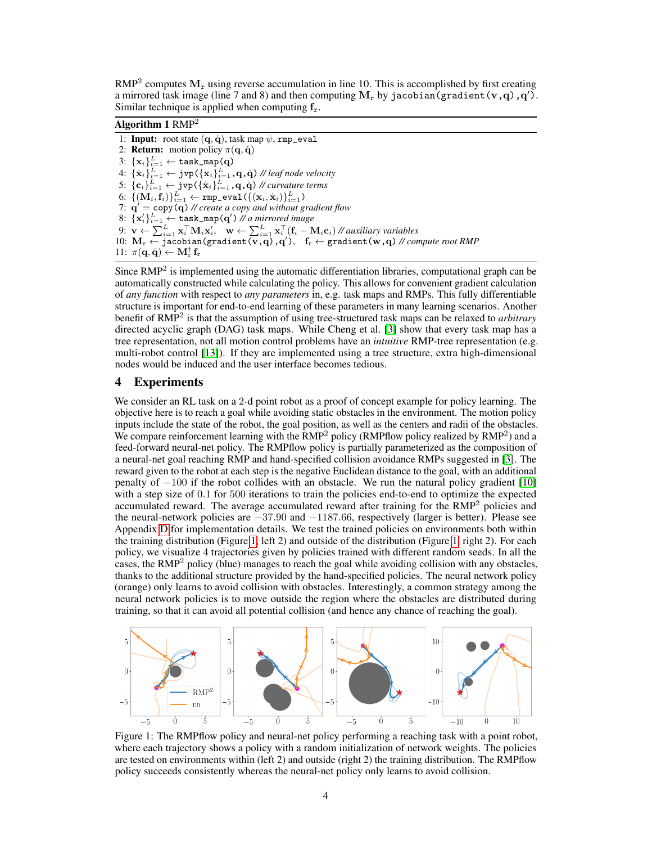$RMP<sup>2</sup>$  computes  $M<sub>r</sub>$  using reverse accumulation in line 10. This is accomplished by first creating a mirrored task image (line 7 and 8) and then computing  $\mathbf{M_{r}}$  by jacobian (gradient (**v** , **q**) , **q**<sup>'</sup>). Similar technique is applied when computing  $f_r$ .

## <span id="page-3-0"></span>Algorithm  $1 \text{ RMP}^2$

<span id="page-3-3"></span><span id="page-3-2"></span>1: Input: root state  $(q, \dot{q})$ , task map  $\psi$ , rmp\_eval 2: **Return:** motion policy  $\pi(\mathbf{q}, \dot{\mathbf{q}})$  $3\colon \{\mathbf{x}_i\}_{i=1}^L \leftarrow \texttt{task\_map}(\mathbf{q})$  $4\colon \{\dot{\mathbf{x}}_i\}_{i=1}^L \leftarrow \mathsf{jvp}(\{\mathbf{x}_i\}_{i=1}^L, \mathbf{q}, \dot{\mathbf{q}})$  // leaf node velocity  $5: \, \{\mathbf{c}_i\}_{i=1}^L \leftarrow \texttt{jvp}(\{\dot{\mathbf{x}}_i\}_{i=1}^L, \mathbf{q}, \dot{\mathbf{q}}) \, \textcolor{black}{\#}$  curvature terms  $6\!\!: \, \{ (\mathbf{M}_i, \mathbf{f}_i) \}_{i=1}^L \leftarrow \texttt{rmp\_eval} \left( \{(\mathbf{x}_i, \dot{\mathbf{x}}_i) \}_{i=1}^L \right)$ 7:  $\mathbf{q}' = \mathbf{copy}(\mathbf{q})$  // create a copy and without gradient flow  $8: \{\mathbf{x}_i'\}_{i=1}^L \leftarrow \texttt{task\_map}(\mathbf{q}')$  *// a mirrored image* 9:  $\mathbf{v} \leftarrow \sum_{i=1}^L \mathbf{x}_i^\top \mathbf{M}_i \mathbf{x}_i', \quad \mathbf{w} \leftarrow \sum_{i=1}^L \mathbf{x}_i^\top (\mathbf{f}_i - \mathbf{M}_i \mathbf{c}_i)$ // auxiliary variables 10:  $M_r \leftarrow$  jacobian(gradient( $v, q$ ),  $q'$ ),  $f_r \leftarrow$  gradient( $w, q$ ) // compute root RMP 11:  $\pi(\mathbf{q}, \dot{\mathbf{q}}) \leftarrow \mathbf{M}^{\dagger}_{\mathrm{r}} \mathbf{f}_{\mathrm{r}}$ 

<span id="page-3-4"></span>Since  $RMP<sup>2</sup>$  is implemented using the automatic differentiation libraries, computational graph can be automatically constructed while calculating the policy. This allows for convenient gradient calculation of *any function* with respect to *any parameters* in, e.g. task maps and RMPs. This fully differentiable structure is important for end-to-end learning of these parameters in many learning scenarios. Another benefit of RMP<sup>2</sup> is that the assumption of using tree-structured task maps can be relaxed to *arbitrary* directed acyclic graph (DAG) task maps. While Cheng et al. [\[3\]](#page-4-5) show that every task map has a tree representation, not all motion control problems have an *intuitive* RMP-tree representation (e.g. multi-robot control [\[13\]](#page-4-16)). If they are implemented using a tree structure, extra high-dimensional nodes would be induced and the user interface becomes tedious.

#### 4 Experiments

We consider an RL task on a 2-d point robot as a proof of concept example for policy learning. The objective here is to reach a goal while avoiding static obstacles in the environment. The motion policy inputs include the state of the robot, the goal position, as well as the centers and radii of the obstacles. We compare reinforcement learning with the  $\overline{RMP}^2$  policy (RMPflow policy realized by  $RMP^2$ ) and a feed-forward neural-net policy. The RMPflow policy is partially parameterized as the composition of a neural-net goal reaching RMP and hand-specified collision avoidance RMPs suggested in [\[3\]](#page-4-5). The reward given to the robot at each step is the negative Euclidean distance to the goal, with an additional penalty of −100 if the robot collides with an obstacle. We run the natural policy gradient [\[10\]](#page-4-17) with a step size of 0.1 for 500 iterations to train the policies end-to-end to optimize the expected accumulated reward. The average accumulated reward after training for the  $RMP<sup>2</sup>$  policies and the neural-network policies are −37.90 and −1187.66, respectively (larger is better). Please see Appendix [D](#page-8-0) for implementation details. We test the trained policies on environments both within the training distribution (Figure [1,](#page-3-1) left 2) and outside of the distribution (Figure [1,](#page-3-1) right 2). For each policy, we visualize 4 trajectories given by policies trained with different random seeds. In all the cases, the  $RMP<sup>2</sup>$  policy (blue) manages to reach the goal while avoiding collision with any obstacles, thanks to the additional structure provided by the hand-specified policies. The neural network policy (orange) only learns to avoid collision with obstacles. Interestingly, a common strategy among the neural network policies is to move outside the region where the obstacles are distributed during training, so that it can avoid all potential collision (and hence any chance of reaching the goal).

<span id="page-3-1"></span>

Figure 1: The RMPflow policy and neural-net policy performing a reaching task with a point robot, where each trajectory shows a policy with a random initialization of network weights. The policies are tested on environments within (left 2) and outside (right 2) the training distribution. The RMPflow policy succeeds consistently whereas the neural-net policy only learns to avoid collision.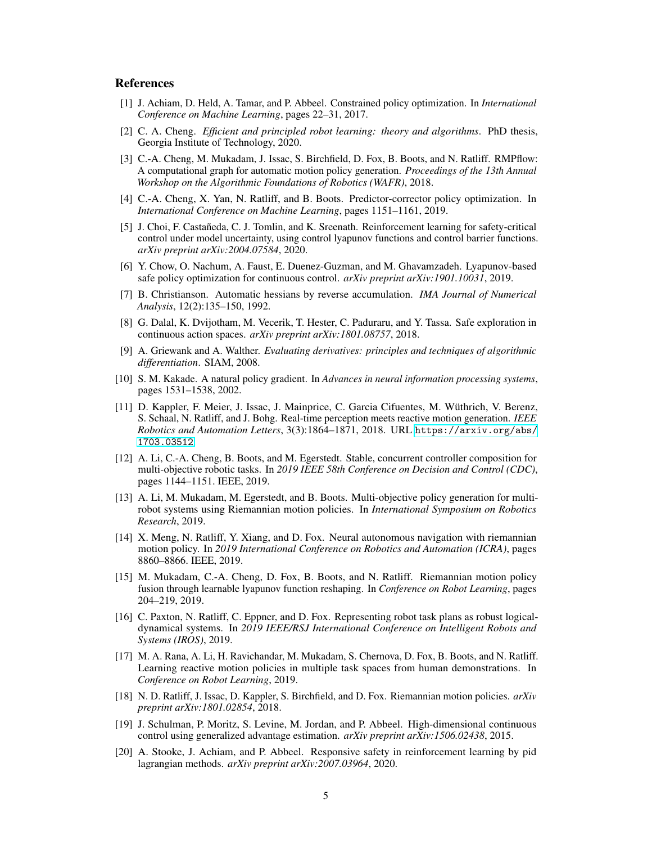## References

- <span id="page-4-0"></span>[1] J. Achiam, D. Held, A. Tamar, and P. Abbeel. Constrained policy optimization. In *International Conference on Machine Learning*, pages 22–31, 2017.
- <span id="page-4-9"></span>[2] C. A. Cheng. *Efficient and principled robot learning: theory and algorithms*. PhD thesis, Georgia Institute of Technology, 2020.
- <span id="page-4-5"></span>[3] C.-A. Cheng, M. Mukadam, J. Issac, S. Birchfield, D. Fox, B. Boots, and N. Ratliff. RMPflow: A computational graph for automatic motion policy generation. *Proceedings of the 13th Annual Workshop on the Algorithmic Foundations of Robotics (WAFR)*, 2018.
- <span id="page-4-18"></span>[4] C.-A. Cheng, X. Yan, N. Ratliff, and B. Boots. Predictor-corrector policy optimization. In *International Conference on Machine Learning*, pages 1151–1161, 2019.
- <span id="page-4-2"></span>[5] J. Choi, F. Castañeda, C. J. Tomlin, and K. Sreenath. Reinforcement learning for safety-critical control under model uncertainty, using control lyapunov functions and control barrier functions. *arXiv preprint arXiv:2004.07584*, 2020.
- <span id="page-4-3"></span>[6] Y. Chow, O. Nachum, A. Faust, E. Duenez-Guzman, and M. Ghavamzadeh. Lyapunov-based safe policy optimization for continuous control. *arXiv preprint arXiv:1901.10031*, 2019.
- <span id="page-4-15"></span>[7] B. Christianson. Automatic hessians by reverse accumulation. *IMA Journal of Numerical Analysis*, 12(2):135–150, 1992.
- <span id="page-4-4"></span>[8] G. Dalal, K. Dvijotham, M. Vecerik, T. Hester, C. Paduraru, and Y. Tassa. Safe exploration in continuous action spaces. *arXiv preprint arXiv:1801.08757*, 2018.
- <span id="page-4-12"></span>[9] A. Griewank and A. Walther. *Evaluating derivatives: principles and techniques of algorithmic differentiation*. SIAM, 2008.
- <span id="page-4-17"></span>[10] S. M. Kakade. A natural policy gradient. In *Advances in neural information processing systems*, pages 1531–1538, 2002.
- <span id="page-4-6"></span>[11] D. Kappler, F. Meier, J. Issac, J. Mainprice, C. Garcia Cifuentes, M. Wüthrich, V. Berenz, S. Schaal, N. Ratliff, and J. Bohg. Real-time perception meets reactive motion generation. *IEEE Robotics and Automation Letters*, 3(3):1864–1871, 2018. URL [https://arxiv.org/abs/](https://arxiv.org/abs/1703.03512) [1703.03512](https://arxiv.org/abs/1703.03512).
- <span id="page-4-14"></span>[12] A. Li, C.-A. Cheng, B. Boots, and M. Egerstedt. Stable, concurrent controller composition for multi-objective robotic tasks. In *2019 IEEE 58th Conference on Decision and Control (CDC)*, pages 1144–1151. IEEE, 2019.
- <span id="page-4-16"></span>[13] A. Li, M. Mukadam, M. Egerstedt, and B. Boots. Multi-objective policy generation for multirobot systems using Riemannian motion policies. In *International Symposium on Robotics Research*, 2019.
- <span id="page-4-7"></span>[14] X. Meng, N. Ratliff, Y. Xiang, and D. Fox. Neural autonomous navigation with riemannian motion policy. In *2019 International Conference on Robotics and Automation (ICRA)*, pages 8860–8866. IEEE, 2019.
- <span id="page-4-10"></span>[15] M. Mukadam, C.-A. Cheng, D. Fox, B. Boots, and N. Ratliff. Riemannian motion policy fusion through learnable lyapunov function reshaping. In *Conference on Robot Learning*, pages 204–219, 2019.
- <span id="page-4-8"></span>[16] C. Paxton, N. Ratliff, C. Eppner, and D. Fox. Representing robot task plans as robust logicaldynamical systems. In *2019 IEEE/RSJ International Conference on Intelligent Robots and Systems (IROS)*, 2019.
- <span id="page-4-11"></span>[17] M. A. Rana, A. Li, H. Ravichandar, M. Mukadam, S. Chernova, D. Fox, B. Boots, and N. Ratliff. Learning reactive motion policies in multiple task spaces from human demonstrations. In *Conference on Robot Learning*, 2019.
- <span id="page-4-13"></span>[18] N. D. Ratliff, J. Issac, D. Kappler, S. Birchfield, and D. Fox. Riemannian motion policies. *arXiv preprint arXiv:1801.02854*, 2018.
- <span id="page-4-19"></span>[19] J. Schulman, P. Moritz, S. Levine, M. Jordan, and P. Abbeel. High-dimensional continuous control using generalized advantage estimation. *arXiv preprint arXiv:1506.02438*, 2015.
- <span id="page-4-1"></span>[20] A. Stooke, J. Achiam, and P. Abbeel. Responsive safety in reinforcement learning by pid lagrangian methods. *arXiv preprint arXiv:2007.03964*, 2020.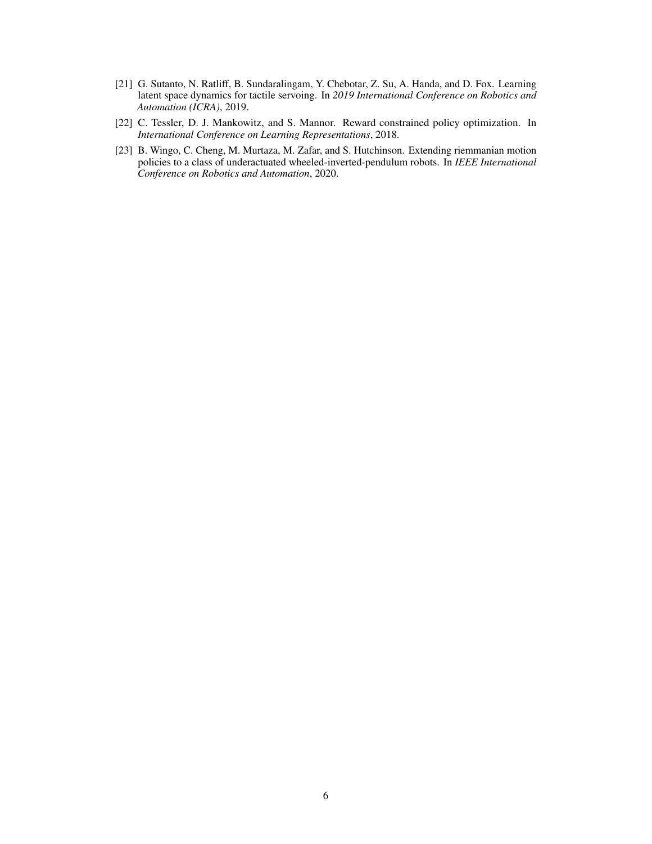- <span id="page-5-1"></span>[21] G. Sutanto, N. Ratliff, B. Sundaralingam, Y. Chebotar, Z. Su, A. Handa, and D. Fox. Learning latent space dynamics for tactile servoing. In *2019 International Conference on Robotics and Automation (ICRA)*, 2019.
- <span id="page-5-0"></span>[22] C. Tessler, D. J. Mankowitz, and S. Mannor. Reward constrained policy optimization. In *International Conference on Learning Representations*, 2018.
- <span id="page-5-2"></span>[23] B. Wingo, C. Cheng, M. Murtaza, M. Zafar, and S. Hutchinson. Extending riemmanian motion policies to a class of underactuated wheeled-inverted-pendulum robots. In *IEEE International Conference on Robotics and Automation*, 2020.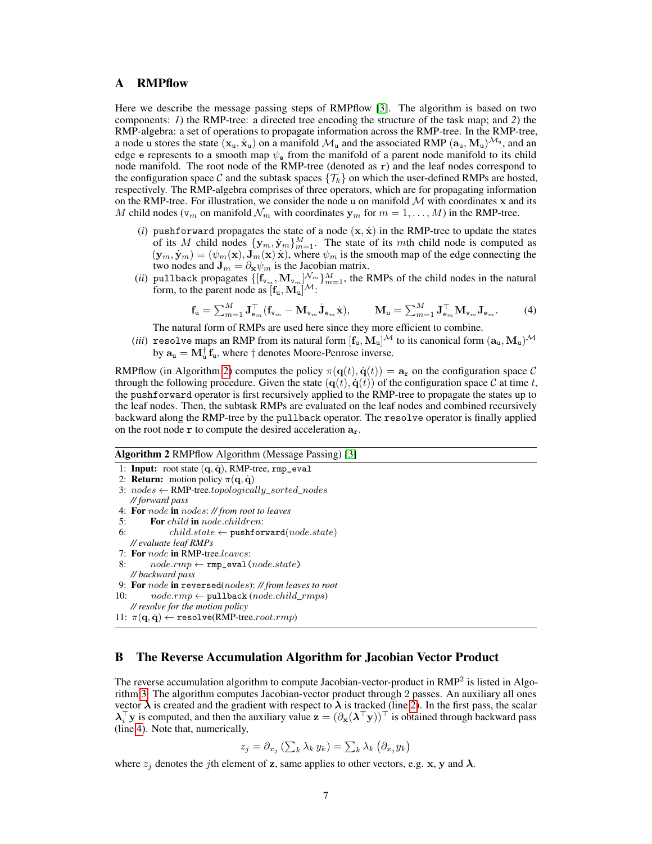## <span id="page-6-0"></span>A RMPflow

Here we describe the message passing steps of RMPflow [\[3\]](#page-4-5). The algorithm is based on two components: *1*) the RMP-tree: a directed tree encoding the structure of the task map; and *2*) the RMP-algebra: a set of operations to propagate information across the RMP-tree. In the RMP-tree, a node u stores the state  $(x_u, \dot{x}_u)$  on a manifold  $\mathcal{M}_u$  and the associated RMP  $(a_u, M_u)^{\mathcal{M}_u}$ , and an edge e represents to a smooth map  $\psi_e$  from the manifold of a parent node manifold to its child node manifold. The root node of the RMP-tree (denoted as  $r$ ) and the leaf nodes correspond to the configuration space C and the subtask spaces  $\{\mathcal{T}_k\}$  on which the user-defined RMPs are hosted, respectively. The RMP-algebra comprises of three operators, which are for propagating information on the RMP-tree. For illustration, we consider the node u on manifold  $M$  with coordinates x and its M child nodes ( $v_m$  on manifold  $\mathcal{N}_m$  with coordinates  $y_m$  for  $m = 1, \dots, M$ ) in the RMP-tree.

- (*i*) pushforward propagates the state of a node  $(x, \dot{x})$  in the RMP-tree to update the states of its M child nodes  ${\bf \{y_m,y_m\}}_{m=1}^M$ . The state of its mth child node is computed as  $({\bf y}_m, \dot{{\bf y}}_m) = (\psi_m({\bf x}), {\bf J}_m({\bf x})\dot{{\bf x}})$ , where  $\psi_m$  is the smooth map of the edge connecting the two nodes and  $\mathbf{J}_m = \partial_{\mathbf{x}} \psi_m$  is the Jacobian matrix.
- (*ii*) pullback propagates  $\{[\mathbf{f}_{v_m}, \mathbf{M}_{v_m}]\}_{m=1}^{N_m}$ , the RMPs of the child nodes in the natural form, to the parent node as  $[\mathbf{f}_u, \mathbf{M}_u]^{\mathcal{M}}$ :

<span id="page-6-2"></span>
$$
\mathbf{f}_{\mathbf{u}} = \sum_{m=1}^{M} \mathbf{J}_{\mathbf{e}_m}^{\top} (\mathbf{f}_{\mathbf{v}_m} - \mathbf{M}_{\mathbf{v}_m} \dot{\mathbf{J}}_{\mathbf{e}_m} \dot{\mathbf{x}}), \qquad \mathbf{M}_{\mathbf{u}} = \sum_{m=1}^{M} \mathbf{J}_{\mathbf{e}_m}^{\top} \mathbf{M}_{\mathbf{v}_m} \mathbf{J}_{\mathbf{e}_m}.
$$
 (4)

The natural form of RMPs are used here since they more efficient to combine.

(*iii*) resolve maps an RMP from its natural form  $[f_u, M_u]^{\mathcal{M}}$  to its canonical form  $(a_u, M_u)^{\mathcal{M}}$ by  $\mathbf{a}_{\mathbf{u}} = \mathbf{M}_{\mathbf{u}}^{\dagger} \mathbf{f}_{\mathbf{u}}$ , where  $\dagger$  denotes Moore-Penrose inverse.

RMPflow (in Algorithm [2\)](#page-6-1) computes the policy  $\pi(\mathbf{q}(t), \dot{\mathbf{q}}(t)) = \mathbf{a}_r$  on the configuration space C through the following procedure. Given the state  $(q(t), \dot{q}(t))$  of the configuration space C at time t, the pushforward operator is first recursively applied to the RMP-tree to propagate the states up to the leaf nodes. Then, the subtask RMPs are evaluated on the leaf nodes and combined recursively backward along the RMP-tree by the pullback operator. The resolve operator is finally applied on the root node  $r$  to compute the desired acceleration  $a_r$ .

#### <span id="page-6-1"></span>Algorithm 2 RMPflow Algorithm (Message Passing) [\[3\]](#page-4-5)

```
1: Input: root state (q, \dot{q}), RMP-tree, rmp_eval
```

```
2: Return: motion policy \pi(\mathbf{q}, \dot{\mathbf{q}})
```
- 3:  $nodes \leftarrow \text{RMP-tree}.topologically\_sorted\_nodes$ *// forward pass*
- 4: For node in nodes: *// from root to leaves*
- 5: For child in node.children:
- 6: child.state ← pushforward( $node.state$ ) *// evaluate leaf RMPs*
- 7: For node in RMP-tree.leaves:
- 8:  $node.rmp \leftarrow rmp\_eval(node.state)$ *// backward pass*
- 
- 9: For node in reversed(nodes): *// from leaves to root*
- 10:  $node.rmp \leftarrow \text{pullback}(node.cchild\_rms)$

```
// resolve for the motion policy
```

```
11: \pi(\mathbf{q}, \dot{\mathbf{q}}) \leftarrow \text{resource}(\text{RMP-tree}.\text{root}.\text{rmp})
```
## B The Reverse Accumulation Algorithm for Jacobian Vector Product

The reverse accumulation algorithm to compute Jacobian-vector-product in RMP<sup>2</sup> is listed in Algorithm [3.](#page-7-1) The algorithm computes Jacobian-vector product through 2 passes. An auxiliary all ones vector  $\lambda$  is created and the gradient with respect to  $\lambda$  is tracked (line [2\)](#page-7-2). In the first pass, the scalar  $\lambda_i^{\top}$ y is computed, and then the auxiliary value  $\mathbf{z} = (\partial_{\mathbf{x}}(\lambda^{\top} \mathbf{y}))^{\top}$  is obtained through backward pass (line [4\)](#page-7-3). Note that, numerically,

$$
z_j = \partial_{x_j} \left( \sum_k \lambda_k y_k \right) = \sum_k \lambda_k \left( \partial_{x_j} y_k \right)
$$

where  $z_j$  denotes the jth element of z, same applies to other vectors, e.g. x, y and  $\lambda$ .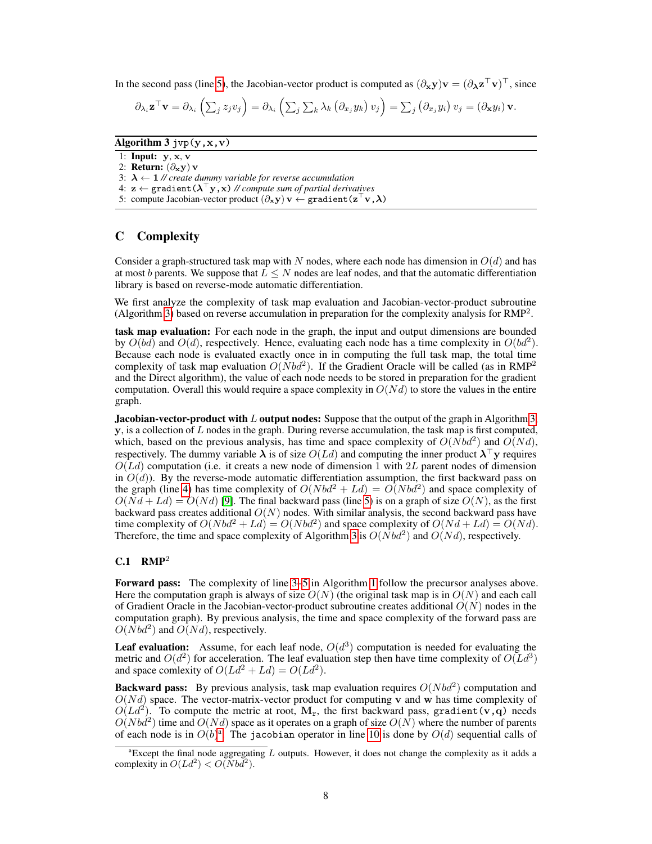In the second pass (line [5\)](#page-7-4), the Jacobian-vector product is computed as  $(\partial_{\bf x} {\bf y}){\bf v} = (\partial_{\bf \lambda} {\bf z}^\top {\bf v})^\top$ , since

<span id="page-7-4"></span><span id="page-7-3"></span>
$$
\partial_{\lambda_i} \mathbf{z}^\top \mathbf{v} = \partial_{\lambda_i} \left( \sum_j z_j v_j \right) = \partial_{\lambda_i} \left( \sum_j \sum_k \lambda_k \left( \partial_{x_j} y_k \right) v_j \right) = \sum_j \left( \partial_{x_j} y_i \right) v_j = \left( \partial_{\mathbf{x}} y_i \right) \mathbf{v}.
$$

<span id="page-7-1"></span>Algorithm  $3$  jvp $(y, x, v)$ 

<span id="page-7-2"></span>1: Input: y, x, v

2: Return:  $(\partial_x y)$  v

3:  $\lambda \leftarrow 1$  // create dummy variable for reverse accumulation

4:  $\mathbf{z} \leftarrow \texttt{gradient}(\boldsymbol{\lambda}^\top \mathbf{y}, \mathbf{x})$  // compute sum of partial derivat<u>i</u>ves

5: compute Jacobian-vector product  $(\partial_x y)$  v  $\leftarrow$  gradient  $(\mathbf{z}^\top \mathbf{v}, \boldsymbol{\lambda})$ 

## <span id="page-7-0"></span>C Complexity

Consider a graph-structured task map with N nodes, where each node has dimension in  $O(d)$  and has at most b parents. We suppose that  $L \leq N$  nodes are leaf nodes, and that the automatic differentiation library is based on reverse-mode automatic differentiation.

We first analyze the complexity of task map evaluation and Jacobian-vector-product subroutine (Algorithm [3\)](#page-7-1) based on reverse accumulation in preparation for the complexity analysis for RMP<sup>2</sup> .

task map evaluation: For each node in the graph, the input and output dimensions are bounded by  $O(b\tilde{d})$  and  $O(d)$ , respectively. Hence, evaluating each node has a time complexity in  $O(bd^2)$ . Because each node is evaluated exactly once in in computing the full task map, the total time complexity of task map evaluation  $O(Nbd^2)$ . If the Gradient Oracle will be called (as in RMP<sup>2</sup> and the Direct algorithm), the value of each node needs to be stored in preparation for the gradient computation. Overall this would require a space complexity in  $O(N_d)$  to store the values in the entire graph.

**Jacobian-vector-product with L output nodes:** Suppose that the output of the graph in Algorithm [3,](#page-7-1) **, is a collection of L nodes in the graph. During reverse accumulation, the task map is first computed,** which, based on the previous analysis, has time and space complexity of  $O(Nbd^2)$  and  $O(Nd)$ , respectively. The dummy variable  $\lambda$  is of size  $O(Ld)$  and computing the inner product  $\lambda^{\top}$ y requires  $O(Ld)$  computation (i.e. it creats a new node of dimension 1 with 2L parent nodes of dimension in  $O(d)$ ). By the reverse-mode automatic differentiation assumption, the first backward pass on the graph (line [4\)](#page-7-3) has time complexity of  $O(Nbd^2 + Ld) = O(Nbd^2)$  and space complexity of  $O(Nd + Ld) = O(Nd)$  [\[9\]](#page-4-12). The final backward pass (line [5\)](#page-7-4) is on a graph of size  $O(N)$ , as the first backward pass creates additional  $O(N)$  nodes. With similar analysis, the second backward pass have time complexity of  $O(Nbd^2 + Ld) = O(Nbd^2)$  and space complexity of  $O(Nd + Ld) = O(Nd)$ . Therefore, the time and space complexity of Algorithm [3](#page-7-1) is  $O(Nbd^2)$  and  $O(Nd)$ , respectively.

## $C.1$  RMP<sup>2</sup>

Forward pass: The complexity of line [3](#page-3-2)[–5](#page-3-3) in Algorithm [1](#page-3-0) follow the precursor analyses above. Here the computation graph is always of size  $O(N)$  (the original task map is in  $O(N)$ ) and each call of Gradient Oracle in the Jacobian-vector-product subroutine creates additional  $O(N)$  nodes in the computation graph). By previous analysis, the time and space complexity of the forward pass are  $O(Nbd^2)$  and  $O(Nd)$ , respectively.

**Leaf evaluation:** Assume, for each leaf node,  $O(d^3)$  computation is needed for evaluating the metric and  $O(d^2)$  for acceleration. The leaf evaluation step then have time complexity of  $O(Ld^3)$ and space comlexity of  $O(Ld^2 + Ld) = O(Ld^2)$ .

Backward pass: By previous analysis, task map evaluation requires  $O(Nbd^2)$  computation and  $O(Nd)$  space. The vector-matrix-vector product for computing v and w has time complexity of  $O(Ld^2)$ . To compute the metric at root,  $M_r$ , the first backward pass, gradient (v,q) needs  $O(Nb\dot{d}^2)$  time and  $O(Nd)$  space as it operates on a graph of size  $O(N)$  where the number of parents of e[a](#page-7-5)ch node is in  $O(b)^{a}$ . The jacobian operator in line [10](#page-3-4) is done by  $O(d)$  sequential calls of

<span id="page-7-5"></span><sup>&</sup>lt;sup>a</sup>Except the final node aggregating  $L$  outputs. However, it does not change the complexity as it adds a complexity in  $O(Ld^2) < O(Nbd^2)$ .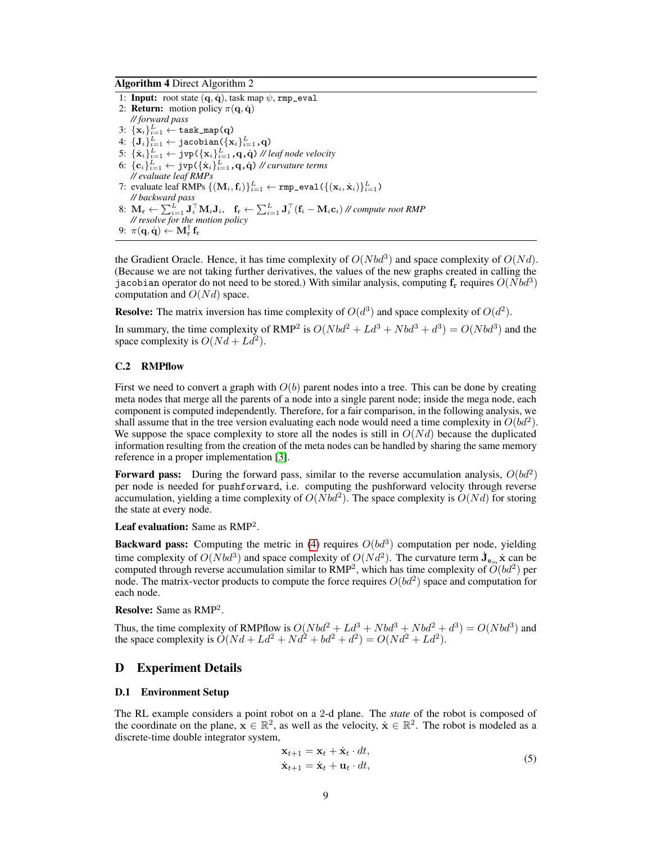Algorithm 4 Direct Algorithm 2

1: Input: root state  $(q, \dot{q})$ , task map  $\psi$ , rmp\_eval 2: **Return:** motion policy  $\pi(\mathbf{q}, \dot{\mathbf{q}})$ *// forward pass*  $3\colon \{\mathbf{x}_i\}_{i=1}^L \leftarrow \texttt{task\_map}(\mathbf{q})$ 4:  $\{{\bf J}_i\}_{i=1}^L \leftarrow \texttt{jacobian}\left(\{{\bf x}_i\}_{i=1}^L, {\bf q}\right)$  $5: \: \{\dot{\mathbf{x}}_i\}_{i=1}^L \leftarrow \texttt{jvp}(\{\mathbf{x}_i\}_{i=1}^L, \mathbf{q}, \dot{\mathbf{q}}) \text{ // leaf node velocity}$  $6: \, \{\mathbf{c}_i\}_{i=1}^L \leftarrow \texttt{jvp}(\{\dot{\mathbf{x}}_i\}_{i=1}^L, \mathbf{q}, \dot{\mathbf{q}}) \, \text{\textit{//} curvature terms}$ *// evaluate leaf RMPs* 7: evaluate leaf RMPs  $\{(\mathbf{M}_i, \mathbf{f}_i)\}_{i=1}^L \leftarrow \texttt{rmp\_eval}\left(\{(\mathbf{x}_i, \dot{\mathbf{x}}_i)\}_{i=1}^L\right)$ *// backward pass*  $8\colon\thinspace\mathbf{M}_\mathrm{r}\leftarrow \sum_{i=1}^L \mathbf{J}_i^\top\mathbf{M}_i\mathbf{J}_i,\quad \mathbf{f}_\mathrm{r}\leftarrow \sum_{i=1}^L \mathbf{J}_i^\top\big(\mathbf{f}_i-\mathbf{M}_i\mathbf{c}_i\big)$  // compute root RMP *// resolve for the motion policy*  $9\!\colon\thinspace\pi(\mathbf{q},\dot{\mathbf{q}})\leftarrow\mathbf{M}_\mathrm{r}^{\dagger}\,\mathbf{f}_\mathrm{r}$ 

the Gradient Oracle. Hence, it has time complexity of  $O(Nbd^3)$  and space complexity of  $O(Nd)$ . (Because we are not taking further derivatives, the values of the new graphs created in calling the jacobian operator do not need to be stored.) With similar analysis, computing  $f_r$  requires  $O(Nbd^3)$ computation and  $O(N_d)$  space.

**Resolve:** The matrix inversion has time complexity of  $O(d^3)$  and space complexity of  $O(d^2)$ .

In summary, the time complexity of RMP<sup>2</sup> is  $O(Nbd^2 + Ld^3 + Nbd^3 + d^3) = O(Nbd^3)$  and the space complexity is  $O(Nd + Ld^2)$ .

#### C.2 RMPflow

First we need to convert a graph with  $O(b)$  parent nodes into a tree. This can be done by creating meta nodes that merge all the parents of a node into a single parent node; inside the mega node, each component is computed independently. Therefore, for a fair comparison, in the following analysis, we shall assume that in the tree version evaluating each node would need a time complexity in  $O(bd^2)$ . We suppose the space complexity to store all the nodes is still in  $O(N_d)$  because the duplicated information resulting from the creation of the meta nodes can be handled by sharing the same memory reference in a proper implementation [\[3\]](#page-4-5).

Forward pass: During the forward pass, similar to the reverse accumulation analysis,  $O(bd^2)$ per node is needed for pushforward, i.e. computing the pushforward velocity through reverse accumulation, yielding a time complexity of  $O(Nbd^2)$ . The space complexity is  $O(Nd)$  for storing the state at every node.

**Leaf evaluation:** Same as  $RMP^2$ .

**Backward pass:** Computing the metric in [\(4\)](#page-6-2) requires  $O(bd^3)$  computation per node, yielding time complexity of  $O(Nbd^3)$  and space complexity of  $O(Nd^2)$ . The curvature term  $\dot{\mathbf{J}}_{\mathbf{e}_m}\dot{\mathbf{x}}$  can be computed through reverse accumulation similar to  $\text{RMP}^2$ , which has time complexity of  $O(bd^2)$  per node. The matrix-vector products to compute the force requires  $O(bd^2)$  space and computation for each node.

Resolve: Same as RMP<sup>2</sup>.

Thus, the time complexity of RMPflow is  $O(Nbd^2 + Ld^3 + Nbd^3 + Nbd^2 + d^3) = O(Nbd^3)$  and the space complexity is  $O(Nd + Ld^2 + Nd^2 + bd^2 + d^2) = O(Nd^2 + Ld^2)$ .

## <span id="page-8-0"></span>D Experiment Details

#### D.1 Environment Setup

The RL example considers a point robot on a 2-d plane. The *state* of the robot is composed of the coordinate on the plane,  $x \in \mathbb{R}^2$ , as well as the velocity,  $\dot{x} \in \mathbb{R}^2$ . The robot is modeled as a discrete-time double integrator system,

<span id="page-8-1"></span>
$$
\mathbf{x}_{t+1} = \mathbf{x}_t + \dot{\mathbf{x}}_t \cdot dt, \n\dot{\mathbf{x}}_{t+1} = \dot{\mathbf{x}}_t + \mathbf{u}_t \cdot dt,
$$
\n(5)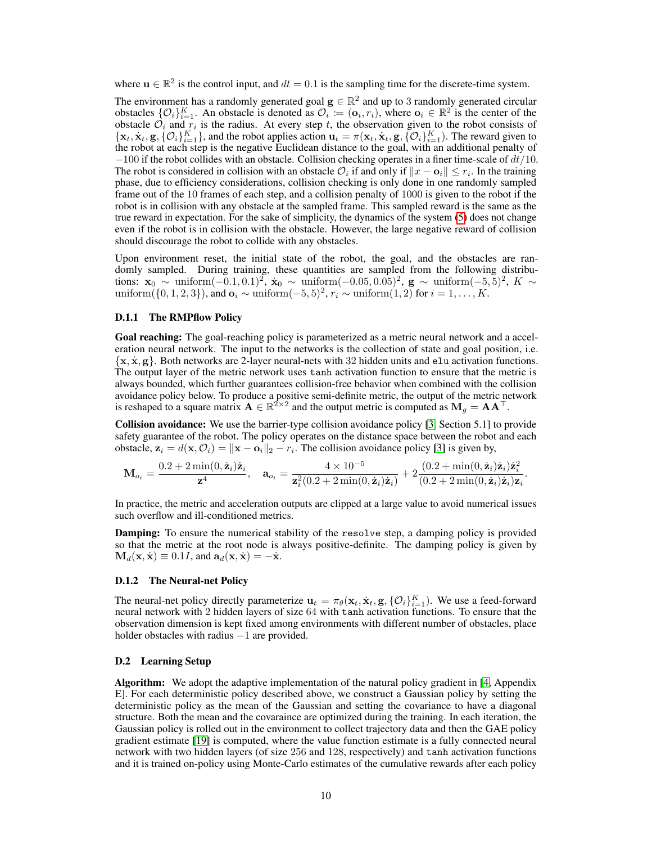where  $u \in \mathbb{R}^2$  is the control input, and  $dt = 0.1$  is the sampling time for the discrete-time system.

The environment has a randomly generated goal  $g \in \mathbb{R}^2$  and up to 3 randomly generated circular obstacles  $\{\mathcal{O}_i\}_{i=1}^K$ . An obstacle is denoted as  $\mathcal{O}_i := (\mathbf{o}_i, r_i)$ , where  $\mathbf{o}_i \in \mathbb{R}^2$  is the center of the obstacle  $\mathcal{O}_i$  and  $r_i$  is the radius. At every step t, the observation given to the robot consists of  $\{x_t, \dot{x}_t, g, \{0_i\}_{i=1}^K\}$ , and the robot applies action  $\mathbf{u}_t = \pi(\mathbf{x}_t, \dot{\mathbf{x}}_t, \mathbf{g}, \{0_i\}_{i=1}^K)$ . The reward given to the robot at each step is the negative Euclidean distance to the goal, with an additional penalty of  $-100$  if the robot collides with an obstacle. Collision checking operates in a finer time-scale of  $dt/10$ . The robot is considered in collision with an obstacle  $\mathcal{O}_i$  if and only if  $||x - \mathbf{o}_i|| \le r_i$ . In the training phase, due to efficiency considerations, collision checking is only done in one randomly sampled frame out of the 10 frames of each step, and a collision penalty of 1000 is given to the robot if the robot is in collision with any obstacle at the sampled frame. This sampled reward is the same as the true reward in expectation. For the sake of simplicity, the dynamics of the system [\(5\)](#page-8-1) does not change even if the robot is in collision with the obstacle. However, the large negative reward of collision should discourage the robot to collide with any obstacles.

Upon environment reset, the initial state of the robot, the goal, and the obstacles are randomly sampled. During training, these quantities are sampled from the following distributions:  $\mathbf{x}_0$  ~ uniform(-0.1, 0.1)<sup>2</sup>,  $\dot{\mathbf{x}}_0$  ~ uniform(-0.05, 0.05)<sup>2</sup>, **g** ~ uniform(-5, 5)<sup>2</sup>, K ~ uniform({0, 1, 2, 3}), and  $\mathbf{o}_i \sim \text{uniform}(-5, 5)^2$ ,  $r_i \sim \text{uniform}(1, 2)$  for  $i = 1, \ldots, K$ .

#### D.1.1 The RMPflow Policy

Goal reaching: The goal-reaching policy is parameterized as a metric neural network and a acceleration neural network. The input to the networks is the collection of state and goal position, i.e.  $\{x, \dot{x}, g\}$ . Both networks are 2-layer neural-nets with 32 hidden units and elu activation functions. The output layer of the metric network uses tanh activation function to ensure that the metric is always bounded, which further guarantees collision-free behavior when combined with the collision avoidance policy below. To produce a positive semi-definite metric, the output of the metric network is reshaped to a square matrix  $A \in \mathbb{R}^{2 \times 2}$  and the output metric is computed as  $M_g = AA^\top$ .

Collision avoidance: We use the barrier-type collision avoidance policy [\[3,](#page-4-5) Section 5.1] to provide safety guarantee of the robot. The policy operates on the distance space between the robot and each obstacle,  $\mathbf{z}_i = d(\mathbf{x}, \mathcal{O}_i) = \|\mathbf{x} - \mathbf{o}_i\|_2 - r_i$ . The collision avoidance policy [\[3\]](#page-4-5) is given by,

$$
\mathbf{M}_{o_i} = \frac{0.2 + 2\min(0, \dot{\mathbf{z}}_i)\dot{\mathbf{z}}_i}{\mathbf{z}^4}, \quad \mathbf{a}_{o_i} = \frac{4 \times 10^{-5}}{\mathbf{z}_i^2(0.2 + 2\min(0, \dot{\mathbf{z}}_i)\dot{\mathbf{z}}_i)} + 2\frac{(0.2 + \min(0, \dot{\mathbf{z}}_i)\dot{\mathbf{z}}_i)\dot{\mathbf{z}}_i^2}{(0.2 + 2\min(0, \dot{\mathbf{z}}_i)\dot{\mathbf{z}}_i)\mathbf{z}_i}.
$$

In practice, the metric and acceleration outputs are clipped at a large value to avoid numerical issues such overflow and ill-conditioned metrics.

Damping: To ensure the numerical stability of the resolve step, a damping policy is provided so that the metric at the root node is always positive-definite. The damping policy is given by  $\mathbf{M}_d(\mathbf{x}, \dot{\mathbf{x}}) \equiv 0.1I$ , and  $\mathbf{a}_d(\mathbf{x}, \dot{\mathbf{x}}) = -\dot{\mathbf{x}}$ .

## D.1.2 The Neural-net Policy

The neural-net policy directly parameterize  $\mathbf{u}_t = \pi_\theta(\mathbf{x}_t, \dot{\mathbf{x}}_t, \mathbf{g}, \{\mathcal{O}_i\}_{i=1}^K)$ . We use a feed-forward neural network with 2 hidden layers of size 64 with tanh activation functions. To ensure that the observation dimension is kept fixed among environments with different number of obstacles, place holder obstacles with radius  $-1$  are provided.

#### D.2 Learning Setup

Algorithm: We adopt the adaptive implementation of the natural policy gradient in [\[4,](#page-4-18) Appendix E]. For each deterministic policy described above, we construct a Gaussian policy by setting the deterministic policy as the mean of the Gaussian and setting the covariance to have a diagonal structure. Both the mean and the covaraince are optimized during the training. In each iteration, the Gaussian policy is rolled out in the environment to collect trajectory data and then the GAE policy gradient estimate [\[19\]](#page-4-19) is computed, where the value function estimate is a fully connected neural network with two hidden layers (of size 256 and 128, respectively) and tanh activation functions and it is trained on-policy using Monte-Carlo estimates of the cumulative rewards after each policy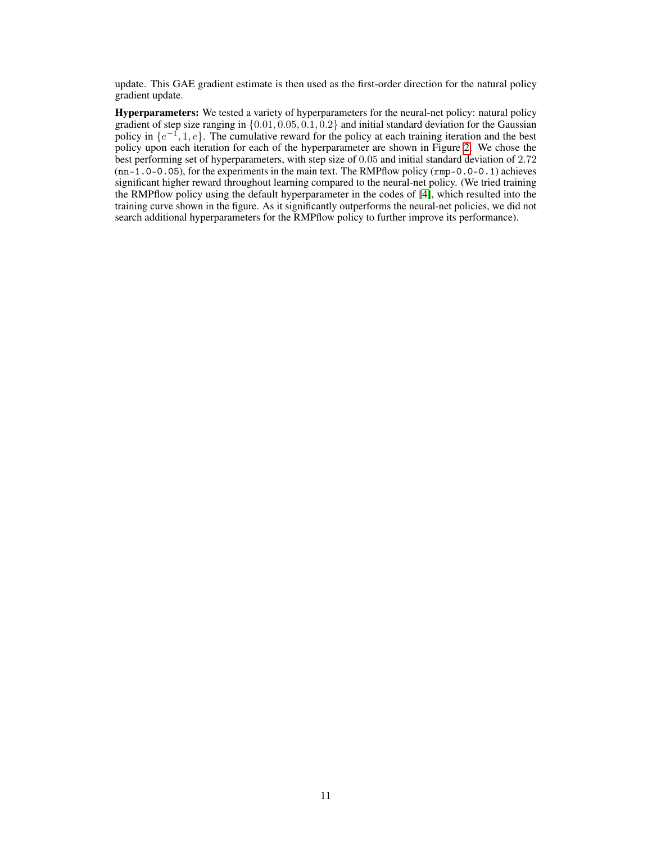update. This GAE gradient estimate is then used as the first-order direction for the natural policy gradient update.

Hyperparameters: We tested a variety of hyperparameters for the neural-net policy: natural policy gradient of step size ranging in  $\{0.01, 0.05, 0.1, 0.2\}$  and initial standard deviation for the Gaussian policy in  $\{e^{-1}, 1, e\}$ . The cumulative reward for the policy at each training iteration and the best policy upon each iteration for each of the hyperparameter are shown in Figure [2.](#page-11-0) We chose the best performing set of hyperparameters, with step size of 0.05 and initial standard deviation of 2.72 (nn-1.0-0.05), for the experiments in the main text. The RMPflow policy (rmp-0.0-0.1) achieves significant higher reward throughout learning compared to the neural-net policy. (We tried training the RMPflow policy using the default hyperparameter in the codes of [\[4\]](#page-4-18), which resulted into the training curve shown in the figure. As it significantly outperforms the neural-net policies, we did not search additional hyperparameters for the RMPflow policy to further improve its performance).